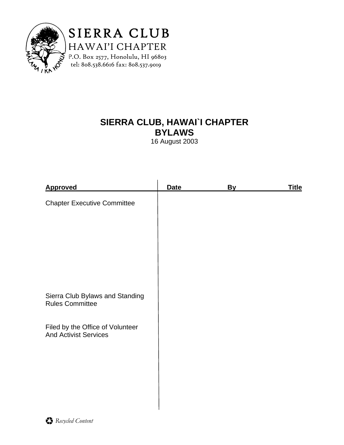

SIERRA CLUB HAWAI'I CHAPTER P.O. Box 2577, Honolulu, HI 96803 tel: 808.538.6616 fax: 808.537.9019

# **SIERRA CLUB, HAWAI`I CHAPTER BYLAWS**

16 August 2003

| <b>Approved</b>                                                  | <b>Date</b> | By | <u>Title</u> |
|------------------------------------------------------------------|-------------|----|--------------|
| <b>Chapter Executive Committee</b>                               |             |    |              |
|                                                                  |             |    |              |
|                                                                  |             |    |              |
|                                                                  |             |    |              |
|                                                                  |             |    |              |
|                                                                  |             |    |              |
| Sierra Club Bylaws and Standing<br><b>Rules Committee</b>        |             |    |              |
| Filed by the Office of Volunteer<br><b>And Activist Services</b> |             |    |              |
|                                                                  |             |    |              |
|                                                                  |             |    |              |
|                                                                  |             |    |              |
|                                                                  |             |    |              |
|                                                                  |             |    |              |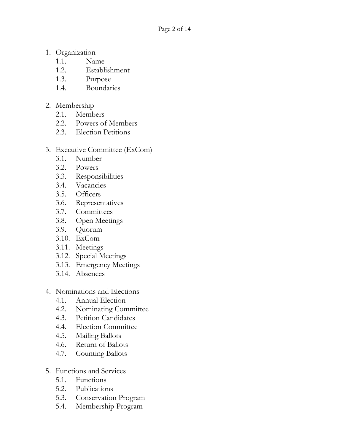- 1. Organization
	- 1.1. Name
	- 1.2. Establishment
	- 1.3. Purpose
	- 1.4. Boundaries
- 2. Membership
	- 2.1. Members
	- 2.2. Powers of Members
	- 2.3. Election Petitions
- 3. Executive Committee (ExCom)
	- 3.1. Number
	- 3.2. Powers
	- 3.3. Responsibilities
	- 3.4. Vacancies
	- 3.5. Officers
	- 3.6. Representatives
	- 3.7. Committees
	- 3.8. Open Meetings
	- 3.9. Quorum
	- 3.10. ExCom
	- 3.11. Meetings
	- 3.12. Special Meetings
	- 3.13. Emergency Meetings
	- 3.14. Absences
- 4. Nominations and Elections
	- 4.1. Annual Election
	- 4.2. Nominating Committee
	- 4.3. Petition Candidates
	- 4.4. Election Committee
	- 4.5. Mailing Ballots
	- 4.6. Return of Ballots
	- 4.7. Counting Ballots
- 5. Functions and Services
	- 5.1. Functions
	- 5.2. Publications
	- 5.3. Conservation Program
	- 5.4. Membership Program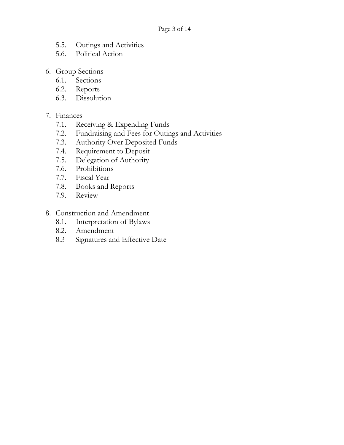- 5.5. Outings and Activities<br>5.6. Political Action
- Political Action
- 6. Group Sections
	- 6.1. Sections
	- 6.2. Reports
	- 6.3. Dissolution

### 7. Finances

- 7.1. Receiving & Expending Funds
- 7.2. Fundraising and Fees for Outings and Activities
- 7.3. Authority Over Deposited Funds
- 7.4. Requirement to Deposit
- 7.5. Delegation of Authority
- 7.6. Prohibitions
- 7.7. Fiscal Year
- 7.8. Books and Reports
- 7.9. Review
- 8. Construction and Amendment
	- 8.1. Interpretation of Bylaws
	- 8.2. Amendment
	- 8.3 Signatures and Effective Date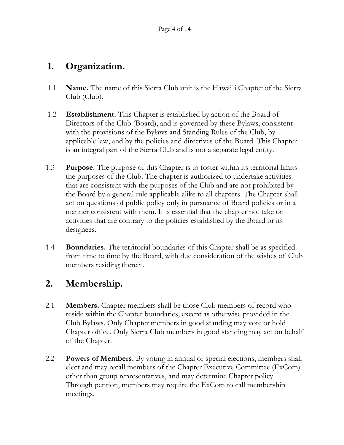# **1. Organization.**

- 1.1 **Name.** The name of this Sierra Club unit is the Hawai`i Chapter of the Sierra Club (Club).
- 1.2 **Establishment.** This Chapter is established by action of the Board of Directors of the Club (Board), and is governed by these Bylaws, consistent with the provisions of the Bylaws and Standing Rules of the Club, by applicable law, and by the policies and directives of the Board. This Chapter is an integral part of the Sierra Club and is not a separate legal entity.
- 1.3 **Purpose.** The purpose of this Chapter is to foster within its territorial limits the purposes of the Club. The chapter is authorized to undertake activities that are consistent with the purposes of the Club and are not prohibited by the Board by a general rule applicable alike to all chapters. The Chapter shall act on questions of public policy only in pursuance of Board policies or in a manner consistent with them. It is essential that the chapter not take on activities that are contrary to the policies established by the Board or its designees.
- 1.4 **Boundaries.** The territorial boundaries of this Chapter shall be as specified from time to time by the Board, with due consideration of the wishes of Club members residing therein.

# **2. Membership.**

- 2.1 **Members.** Chapter members shall be those Club members of record who reside within the Chapter boundaries, except as otherwise provided in the Club Bylaws. Only Chapter members in good standing may vote or hold Chapter office. Only Sierra Club members in good standing may act on behalf of the Chapter.
- 2.2 **Powers of Members.** By voting in annual or special elections, members shall elect and may recall members of the Chapter Executive Committee (ExCom) other than group representatives, and may determine Chapter policy. Through petition, members may require the ExCom to call membership meetings.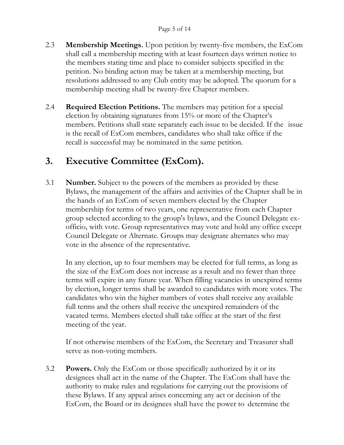- 2.3 **Membership Meetings.** Upon petition by twenty-five members, the ExCom shall call a membership meeting with at least fourteen days written notice to the members stating time and place to consider subjects specified in the petition. No binding action may be taken at a membership meeting, but resolutions addressed to any Club entity may be adopted. The quorum for a membership meeting shall be twenty-five Chapter members.
- 2.4 **Required Election Petitions.** The members may petition for a special election by obtaining signatures from 15% or more of the Chapter's members. Petitions shall state separately each issue to be decided. If the issue is the recall of ExCom members, candidates who shall take office if the recall is successful may be nominated in the same petition.

# **3. Executive Committee (ExCom).**

3.1 **Number.** Subject to the powers of the members as provided by these Bylaws, the management of the affairs and activities of the Chapter shall be in the hands of an ExCom of seven members elected by the Chapter membership for terms of two years, one representative from each Chapter group selected according to the group's bylaws, and the Council Delegate ex officio, with vote. Group representatives may vote and hold any office except Council Delegate or Alternate. Groups may designate alternates who may vote in the absence of the representative.

 In any election, up to four members may be elected for full terms, as long as the size of the ExCom does not increase as a result and no fewer than three terms will expire in any future year. When filling vacancies in unexpired terms by election, longer terms shall be awarded to candidates with more votes. The candidates who win the higher numbers of votes shall receive any available full terms and the others shall receive the unexpired remainders of the vacated terms. Members elected shall take office at the start of the first meeting of the year.

 If not otherwise members of the ExCom, the Secretary and Treasurer shall serve as non-voting members.

3.2 **Powers.** Only the ExCom or those specifically authorized by it or its designees shall act in the name of the Chapter. The ExCom shall have the authority to make rules and regulations for carrying out the provisions of these Bylaws. If any appeal arises concerning any act or decision of the ExCom, the Board or its designees shall have the power to determine the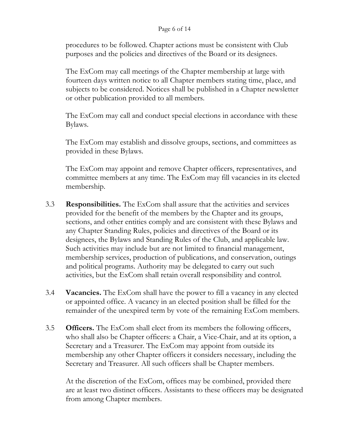#### Page 6 of 14

 procedures to be followed. Chapter actions must be consistent with Club purposes and the policies and directives of the Board or its designees.

 The ExCom may call meetings of the Chapter membership at large with fourteen days written notice to all Chapter members stating time, place, and subjects to be considered. Notices shall be published in a Chapter newsletter or other publication provided to all members.

 The ExCom may call and conduct special elections in accordance with these Bylaws.

 The ExCom may establish and dissolve groups, sections, and committees as provided in these Bylaws.

 The ExCom may appoint and remove Chapter officers, representatives, and committee members at any time. The ExCom may fill vacancies in its elected membership.

- 3.3 **Responsibilities.** The ExCom shall assure that the activities and services provided for the benefit of the members by the Chapter and its groups, sections, and other entities comply and are consistent with these Bylaws and any Chapter Standing Rules, policies and directives of the Board or its designees, the Bylaws and Standing Rules of the Club, and applicable law. Such activities may include but are not limited to financial management, membership services, production of publications, and conservation, outings and political programs. Authority may be delegated to carry out such activities, but the ExCom shall retain overall responsibility and control.
- 3.4 **Vacancies.** The ExCom shall have the power to fill a vacancy in any elected or appointed office. A vacancy in an elected position shall be filled for the remainder of the unexpired term by vote of the remaining ExCom members.
- 3.5 **Officers.** The ExCom shall elect from its members the following officers, who shall also be Chapter officers: a Chair, a Vice-Chair, and at its option, a Secretary and a Treasurer. The ExCom may appoint from outside its membership any other Chapter officers it considers necessary, including the Secretary and Treasurer. All such officers shall be Chapter members.

At the discretion of the ExCom, offices may be combined, provided there are at least two distinct officers. Assistants to these officers may be designated from among Chapter members.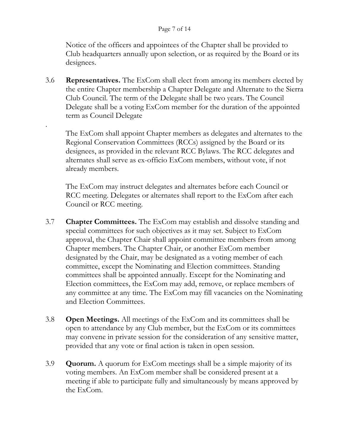#### Page 7 of 14

Notice of the officers and appointees of the Chapter shall be provided to Club headquarters annually upon selection, or as required by the Board or its designees.

3.6 **Representatives.** The ExCom shall elect from among its members elected by the entire Chapter membership a Chapter Delegate and Alternate to the Sierra Club Council. The term of the Delegate shall be two years. The Council Delegate shall be a voting ExCom member for the duration of the appointed term as Council Delegate

.

The ExCom shall appoint Chapter members as delegates and alternates to the Regional Conservation Committees (RCCs) assigned by the Board or its designees, as provided in the relevant RCC Bylaws. The RCC delegates and alternates shall serve as ex-officio ExCom members, without vote, if not already members.

The ExCom may instruct delegates and alternates before each Council or RCC meeting. Delegates or alternates shall report to the ExCom after each Council or RCC meeting.

- 3.7 **Chapter Committees.** The ExCom may establish and dissolve standing and special committees for such objectives as it may set. Subject to ExCom approval, the Chapter Chair shall appoint committee members from among Chapter members. The Chapter Chair, or another ExCom member designated by the Chair, may be designated as a voting member of each committee, except the Nominating and Election committees. Standing committees shall be appointed annually. Except for the Nominating and Election committees, the ExCom may add, remove, or replace members of any committee at any time. The ExCom may fill vacancies on the Nominating and Election Committees.
- 3.8 **Open Meetings.** All meetings of the ExCom and its committees shall be open to attendance by any Club member, but the ExCom or its committees may convene in private session for the consideration of any sensitive matter, provided that any vote or final action is taken in open session.
- 3.9 **Quorum.** A quorum for ExCom meetings shall be a simple majority of its voting members. An ExCom member shall be considered present at a meeting if able to participate fully and simultaneously by means approved by the ExCom.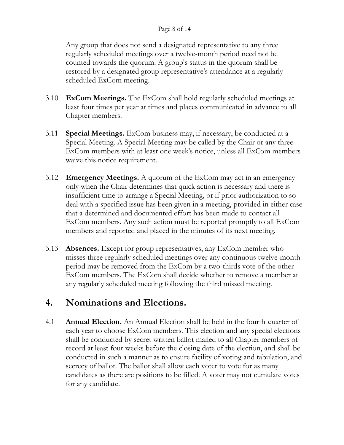#### Page 8 of 14

Any group that does not send a designated representative to any three regularly scheduled meetings over a twelve-month period need not be counted towards the quorum. A group's status in the quorum shall be restored by a designated group representative's attendance at a regularly scheduled ExCom meeting.

- 3.10 **ExCom Meetings.** The ExCom shall hold regularly scheduled meetings at least four times per year at times and places communicated in advance to all Chapter members.
- 3.11 **Special Meetings.** ExCom business may, if necessary, be conducted at a Special Meeting. A Special Meeting may be called by the Chair or any three ExCom members with at least one week's notice, unless all ExCom members waive this notice requirement.
- 3.12 **Emergency Meetings.** A quorum of the ExCom may act in an emergency only when the Chair determines that quick action is necessary and there is insufficient time to arrange a Special Meeting, or if prior authorization to so deal with a specified issue has been given in a meeting, provided in either case that a determined and documented effort has been made to contact all ExCom members. Any such action must be reported promptly to all ExCom members and reported and placed in the minutes of its next meeting.
- 3.13 **Absences.** Except for group representatives, any ExCom member who misses three regularly scheduled meetings over any continuous twelve-month period may be removed from the ExCom by a two-thirds vote of the other ExCom members. The ExCom shall decide whether to remove a member at any regularly scheduled meeting following the third missed meeting.

### **4. Nominations and Elections.**

4.1 **Annual Election.** An Annual Election shall be held in the fourth quarter of each year to choose ExCom members. This election and any special elections shall be conducted by secret written ballot mailed to all Chapter members of record at least four weeks before the closing date of the election, and shall be conducted in such a manner as to ensure facility of voting and tabulation, and secrecy of ballot. The ballot shall allow each voter to vote for as many candidates as there are positions to be filled. A voter may not cumulate votes for any candidate.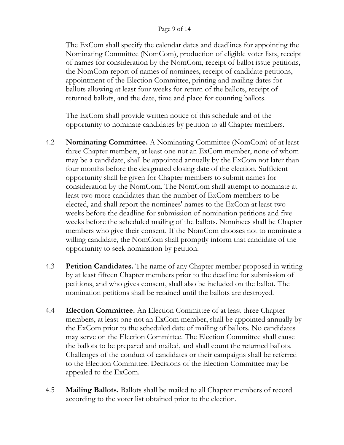#### Page 9 of 14

The ExCom shall specify the calendar dates and deadlines for appointing the Nominating Committee (NomCom), production of eligible voter lists, receipt of names for consideration by the NomCom, receipt of ballot issue petitions, the NomCom report of names of nominees, receipt of candidate petitions, appointment of the Election Committee, printing and mailing dates for ballots allowing at least four weeks for return of the ballots, receipt of returned ballots, and the date, time and place for counting ballots.

The ExCom shall provide written notice of this schedule and of the opportunity to nominate candidates by petition to all Chapter members.

- 4.2 **Nominating Committee.** A Nominating Committee (NomCom) of at least three Chapter members, at least one not an ExCom member, none of whom may be a candidate, shall be appointed annually by the ExCom not later than four months before the designated closing date of the election. Sufficient opportunity shall be given for Chapter members to submit names for consideration by the NomCom. The NomCom shall attempt to nominate at least two more candidates than the number of ExCom members to be elected, and shall report the nominees' names to the ExCom at least two weeks before the deadline for submission of nomination petitions and five weeks before the scheduled mailing of the ballots. Nominees shall be Chapter members who give their consent. If the NomCom chooses not to nominate a willing candidate, the NomCom shall promptly inform that candidate of the opportunity to seek nomination by petition.
- 4.3 **Petition Candidates.** The name of any Chapter member proposed in writing by at least fifteen Chapter members prior to the deadline for submission of petitions, and who gives consent, shall also be included on the ballot. The nomination petitions shall be retained until the ballots are destroyed.
- 4.4 **Election Committee.** An Election Committee of at least three Chapter members, at least one not an ExCom member, shall be appointed annually by the ExCom prior to the scheduled date of mailing of ballots. No candidates may serve on the Election Committee. The Election Committee shall cause the ballots to be prepared and mailed, and shall count the returned ballots. Challenges of the conduct of candidates or their campaigns shall be referred to the Election Committee. Decisions of the Election Committee may be appealed to the ExCom.
- 4.5 **Mailing Ballots.** Ballots shall be mailed to all Chapter members of record according to the voter list obtained prior to the election.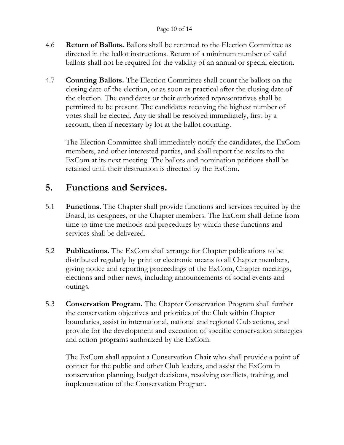### Page 10 of 14

- 4.6 **Return of Ballots.** Ballots shall be returned to the Election Committee as directed in the ballot instructions. Return of a minimum number of valid ballots shall not be required for the validity of an annual or special election.
- 4.7 **Counting Ballots.** The Election Committee shall count the ballots on the closing date of the election, or as soon as practical after the closing date of the election. The candidates or their authorized representatives shall be permitted to be present. The candidates receiving the highest number of votes shall be elected. Any tie shall be resolved immediately, first by a recount, then if necessary by lot at the ballot counting.

The Election Committee shall immediately notify the candidates, the ExCom members, and other interested parties, and shall report the results to the ExCom at its next meeting. The ballots and nomination petitions shall be retained until their destruction is directed by the ExCom.

### **5. Functions and Services.**

- 5.1 **Functions.** The Chapter shall provide functions and services required by the Board, its designees, or the Chapter members. The ExCom shall define from time to time the methods and procedures by which these functions and services shall be delivered.
- 5.2 **Publications.** The ExCom shall arrange for Chapter publications to be distributed regularly by print or electronic means to all Chapter members, giving notice and reporting proceedings of the ExCom, Chapter meetings, elections and other news, including announcements of social events and outings.
- 5.3 **Conservation Program.** The Chapter Conservation Program shall further the conservation objectives and priorities of the Club within Chapter boundaries, assist in international, national and regional Club actions, and provide for the development and execution of specific conservation strategies and action programs authorized by the ExCom.

The ExCom shall appoint a Conservation Chair who shall provide a point of contact for the public and other Club leaders, and assist the ExCom in conservation planning, budget decisions, resolving conflicts, training, and implementation of the Conservation Program.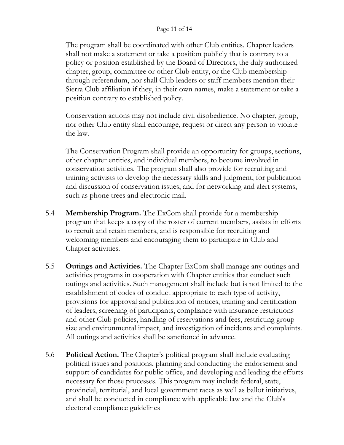### Page 11 of 14

The program shall be coordinated with other Club entities. Chapter leaders shall not make a statement or take a position publicly that is contrary to a policy or position established by the Board of Directors, the duly authorized chapter, group, committee or other Club entity, or the Club membership through referendum, nor shall Club leaders or staff members mention their Sierra Club affiliation if they, in their own names, make a statement or take a position contrary to established policy.

Conservation actions may not include civil disobedience. No chapter, group, nor other Club entity shall encourage, request or direct any person to violate the law.

The Conservation Program shall provide an opportunity for groups, sections, other chapter entities, and individual members, to become involved in conservation activities. The program shall also provide for recruiting and training activists to develop the necessary skills and judgment, for publication and discussion of conservation issues, and for networking and alert systems, such as phone trees and electronic mail.

- 5.4 **Membership Program.** The ExCom shall provide for a membership program that keeps a copy of the roster of current members, assists in efforts to recruit and retain members, and is responsible for recruiting and welcoming members and encouraging them to participate in Club and Chapter activities.
- 5.5 **Outings and Activities.** The Chapter ExCom shall manage any outings and activities programs in cooperation with Chapter entities that conduct such outings and activities. Such management shall include but is not limited to the establishment of codes of conduct appropriate to each type of activity, provisions for approval and publication of notices, training and certification of leaders, screening of participants, compliance with insurance restrictions and other Club policies, handling of reservations and fees, restricting group size and environmental impact, and investigation of incidents and complaints. All outings and activities shall be sanctioned in advance.
- 5.6 **Political Action.** The Chapter's political program shall include evaluating political issues and positions, planning and conducting the endorsement and support of candidates for public office, and developing and leading the efforts necessary for those processes. This program may include federal, state, provincial, territorial, and local government races as well as ballot initiatives, and shall be conducted in compliance with applicable law and the Club's electoral compliance guidelines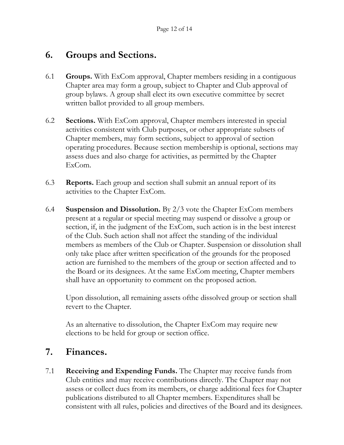### **6. Groups and Sections.**

- 6.1 **Groups.** With ExCom approval, Chapter members residing in a contiguous Chapter area may form a group, subject to Chapter and Club approval of group bylaws. A group shall elect its own executive committee by secret written ballot provided to all group members.
- 6.2 **Sections.** With ExCom approval, Chapter members interested in special activities consistent with Club purposes, or other appropriate subsets of Chapter members, may form sections, subject to approval of section operating procedures. Because section membership is optional, sections may assess dues and also charge for activities, as permitted by the Chapter ExCom.
- 6.3 **Reports.** Each group and section shall submit an annual report of its activities to the Chapter ExCom.
- 6.4 **Suspension and Dissolution.** By 2/3 vote the Chapter ExCom members present at a regular or special meeting may suspend or dissolve a group or section, if, in the judgment of the ExCom, such action is in the best interest of the Club. Such action shall not affect the standing of the individual members as members of the Club or Chapter. Suspension or dissolution shall only take place after written specification of the grounds for the proposed action are furnished to the members of the group or section affected and to the Board or its designees. At the same ExCom meeting, Chapter members shall have an opportunity to comment on the proposed action.

Upon dissolution, all remaining assets ofthe dissolved group or section shall revert to the Chapter.

As an alternative to dissolution, the Chapter ExCom may require new elections to be held for group or section office.

### **7. Finances.**

7.1 **Receiving and Expending Funds.** The Chapter may receive funds from Club entities and may receive contributions directly. The Chapter may not assess or collect dues from its members, or charge additional fees for Chapter publications distributed to all Chapter members. Expenditures shall be consistent with all rules, policies and directives of the Board and its designees.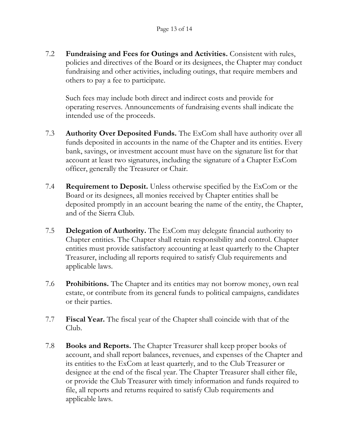7.2 **Fundraising and Fees for Outings and Activities.** Consistent with rules, policies and directives of the Board or its designees, the Chapter may conduct fundraising and other activities, including outings, that require members and others to pay a fee to participate.

Such fees may include both direct and indirect costs and provide for operating reserves. Announcements of fundraising events shall indicate the intended use of the proceeds.

- 7.3 **Authority Over Deposited Funds.** The ExCom shall have authority over all funds deposited in accounts in the name of the Chapter and its entities. Every bank, savings, or investment account must have on the signature list for that account at least two signatures, including the signature of a Chapter ExCom officer, generally the Treasurer or Chair.
- 7.4 **Requirement to Deposit.** Unless otherwise specified by the ExCom or the Board or its designees, all monies received by Chapter entities shall be deposited promptly in an account bearing the name of the entity, the Chapter, and of the Sierra Club.
- 7.5 **Delegation of Authority.** The ExCom may delegate financial authority to Chapter entities. The Chapter shall retain responsibility and control. Chapter entities must provide satisfactory accounting at least quarterly to the Chapter Treasurer, including all reports required to satisfy Club requirements and applicable laws.
- 7.6 **Prohibitions.** The Chapter and its entities may not borrow money, own real estate, or contribute from its general funds to political campaigns, candidates or their parties.
- 7.7 **Fiscal Year.** The fiscal year of the Chapter shall coincide with that of the Club.
- 7.8 **Books and Reports.** The Chapter Treasurer shall keep proper books of account, and shall report balances, revenues, and expenses of the Chapter and its entities to the ExCom at least quarterly, and to the Club Treasurer or designee at the end of the fiscal year. The Chapter Treasurer shall either file, or provide the Club Treasurer with timely information and funds required to file, all reports and returns required to satisfy Club requirements and applicable laws.